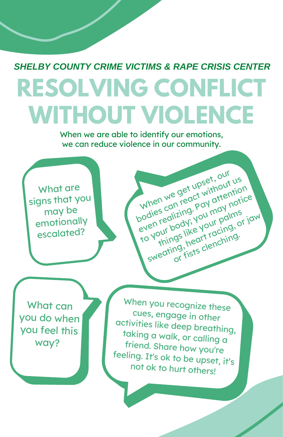## **RESOLVING CONFLICT WITHOUT VIOLENCE** *SHELBY COUNTY CRIME VICTIMS & RAPE CRISIS CENTER*

When we are able to identify our emotions, we can reduce violence in our community.